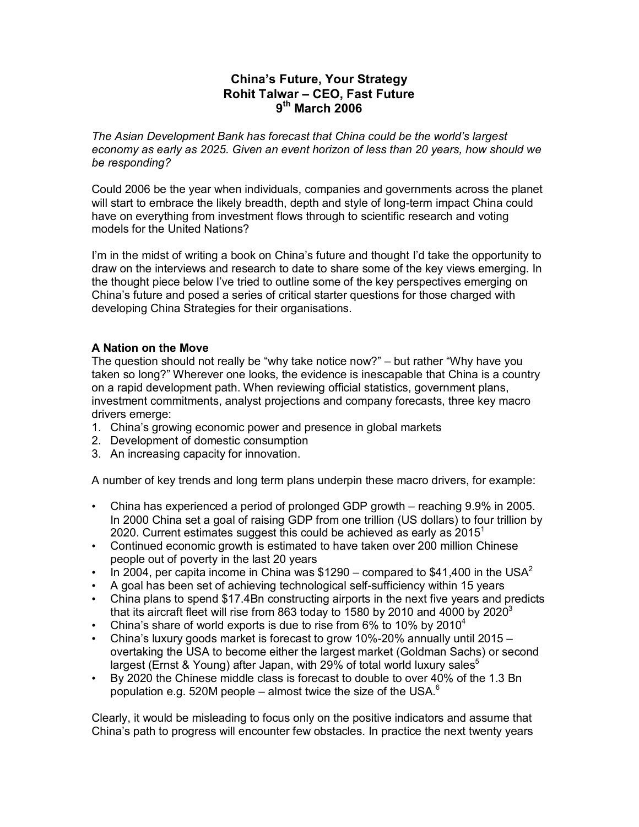# **China's Future, Your Strategy Rohit Talwar – CEO, Fast Future 9th March 2006**

*The Asian Development Bank has forecast that China could be the world's largest economy as early as 2025. Given an event horizon of less than 20 years, how should we be responding?* 

Could 2006 be the year when individuals, companies and governments across the planet will start to embrace the likely breadth, depth and style of long-term impact China could have on everything from investment flows through to scientific research and voting models for the United Nations?

I'm in the midst of writing a book on China's future and thought I'd take the opportunity to draw on the interviews and research to date to share some of the key views emerging. In the thought piece below I've tried to outline some of the key perspectives emerging on China's future and posed a series of critical starter questions for those charged with developing China Strategies for their organisations.

# **A Nation on the Move**

The question should not really be "why take notice now?" – but rather "Why have you taken so long?" Wherever one looks, the evidence is inescapable that China is a country on a rapid development path. When reviewing official statistics, government plans, investment commitments, analyst projections and company forecasts, three key macro drivers emerge:

- 1. China's growing economic power and presence in global markets
- 2. Development of domestic consumption
- 3. An increasing capacity for innovation.

A number of key trends and long term plans underpin these macro drivers, for example:

- China has experienced a period of prolonged GDP growth reaching 9.9% in 2005. In 2000 China set a goal of raising GDP from one trillion (US dollars) to four trillion by 2020. Current estimates suggest this could be achieved as early as  $2015<sup>1</sup>$
- Continued economic growth is estimated to have taken over 200 million Chinese people out of poverty in the last 20 years
- In 2004, per capita income in China was \$1290 compared to \$41,400 in the USA<sup>2</sup>
- A goal has been set of achieving technological self-sufficiency within 15 years
- China plans to spend \$17.4Bn constructing airports in the next five years and predicts that its aircraft fleet will rise from 863 today to 1580 by 2010 and 4000 by 2020 $^3$
- China's share of world exports is due to rise from 6% to 10% by 2010<sup>4</sup>
- China's luxury goods market is forecast to grow 10%-20% annually until 2015 overtaking the USA to become either the largest market (Goldman Sachs) or second largest (Ernst & Young) after Japan, with 29% of total world luxury sales $^{\circ}$
- By 2020 the Chinese middle class is forecast to double to over 40% of the 1.3 Bn population e.g. 520M people – almost twice the size of the USA. $^6$

Clearly, it would be misleading to focus only on the positive indicators and assume that China's path to progress will encounter few obstacles. In practice the next twenty years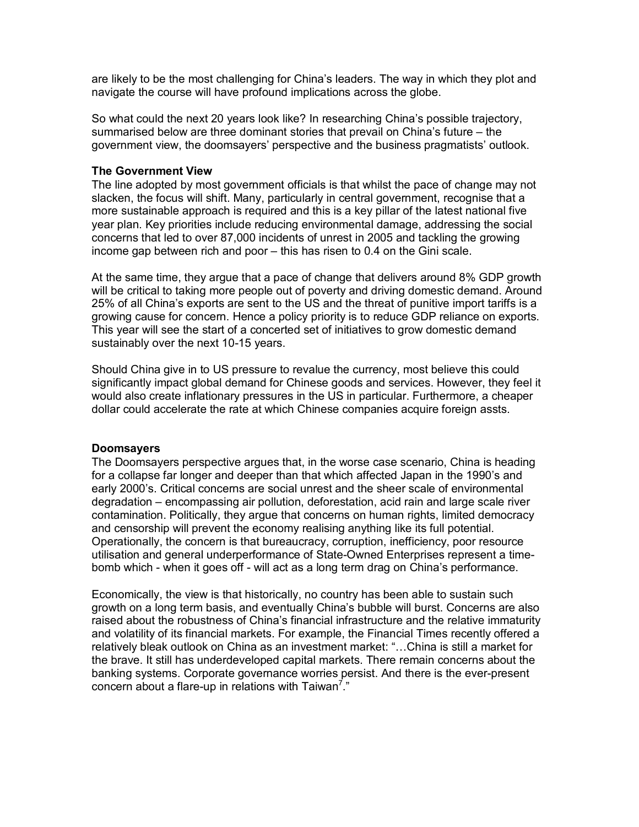are likely to be the most challenging for China's leaders. The way in which they plot and navigate the course will have profound implications across the globe.

So what could the next 20 years look like? In researching China's possible trajectory, summarised below are three dominant stories that prevail on China's future – the government view, the doomsayers' perspective and the business pragmatists' outlook.

#### **The Government View**

The line adopted by most government officials is that whilst the pace of change may not slacken, the focus will shift. Many, particularly in central government, recognise that a more sustainable approach is required and this is a key pillar of the latest national five year plan. Key priorities include reducing environmental damage, addressing the social concerns that led to over 87,000 incidents of unrest in 2005 and tackling the growing income gap between rich and poor – this has risen to 0.4 on the Gini scale.

At the same time, they argue that a pace of change that delivers around 8% GDP growth will be critical to taking more people out of poverty and driving domestic demand. Around 25% of all China's exports are sent to the US and the threat of punitive import tariffs is a growing cause for concern. Hence a policy priority is to reduce GDP reliance on exports. This year will see the start of a concerted set of initiatives to grow domestic demand sustainably over the next 10-15 years.

Should China give in to US pressure to revalue the currency, most believe this could significantly impact global demand for Chinese goods and services. However, they feel it would also create inflationary pressures in the US in particular. Furthermore, a cheaper dollar could accelerate the rate at which Chinese companies acquire foreign assts.

#### **Doomsayers**

The Doomsayers perspective argues that, in the worse case scenario, China is heading for a collapse far longer and deeper than that which affected Japan in the 1990's and early 2000's. Critical concerns are social unrest and the sheer scale of environmental degradation – encompassing air pollution, deforestation, acid rain and large scale river contamination. Politically, they argue that concerns on human rights, limited democracy and censorship will prevent the economy realising anything like its full potential. Operationally, the concern is that bureaucracy, corruption, inefficiency, poor resource utilisation and general underperformance of State-Owned Enterprises represent a timebomb which - when it goes off - will act as a long term drag on China's performance.

Economically, the view is that historically, no country has been able to sustain such growth on a long term basis, and eventually China's bubble will burst. Concerns are also raised about the robustness of China's financial infrastructure and the relative immaturity and volatility of its financial markets. For example, the Financial Times recently offered a relatively bleak outlook on China as an investment market: "…China is still a market for the brave. It still has underdeveloped capital markets. There remain concerns about the banking systems. Corporate governance worries persist. And there is the ever-present concern about a flare-up in relations with Taiwan<sup>7</sup>."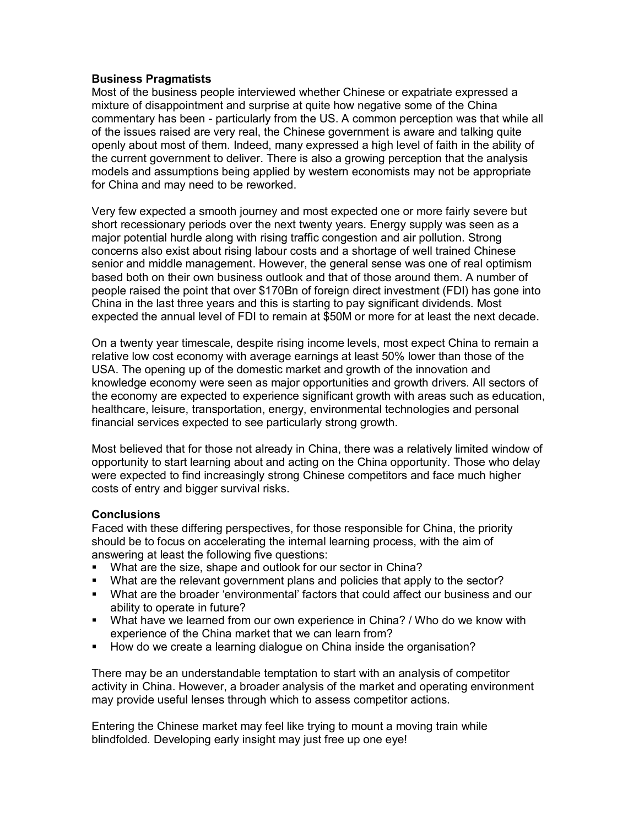### **Business Pragmatists**

Most of the business people interviewed whether Chinese or expatriate expressed a mixture of disappointment and surprise at quite how negative some of the China commentary has been - particularly from the US. A common perception was that while all of the issues raised are very real, the Chinese government is aware and talking quite openly about most of them. Indeed, many expressed a high level of faith in the ability of the current government to deliver. There is also a growing perception that the analysis models and assumptions being applied by western economists may not be appropriate for China and may need to be reworked.

Very few expected a smooth journey and most expected one or more fairly severe but short recessionary periods over the next twenty years. Energy supply was seen as a major potential hurdle along with rising traffic congestion and air pollution. Strong concerns also exist about rising labour costs and a shortage of well trained Chinese senior and middle management. However, the general sense was one of real optimism based both on their own business outlook and that of those around them. A number of people raised the point that over \$170Bn of foreign direct investment (FDI) has gone into China in the last three years and this is starting to pay significant dividends. Most expected the annual level of FDI to remain at \$50M or more for at least the next decade.

On a twenty year timescale, despite rising income levels, most expect China to remain a relative low cost economy with average earnings at least 50% lower than those of the USA. The opening up of the domestic market and growth of the innovation and knowledge economy were seen as major opportunities and growth drivers. All sectors of the economy are expected to experience significant growth with areas such as education, healthcare, leisure, transportation, energy, environmental technologies and personal financial services expected to see particularly strong growth.

Most believed that for those not already in China, there was a relatively limited window of opportunity to start learning about and acting on the China opportunity. Those who delay were expected to find increasingly strong Chinese competitors and face much higher costs of entry and bigger survival risks.

# **Conclusions**

Faced with these differing perspectives, for those responsible for China, the priority should be to focus on accelerating the internal learning process, with the aim of answering at least the following five questions:

- What are the size, shape and outlook for our sector in China?
- What are the relevant government plans and policies that apply to the sector?
- What are the broader 'environmental' factors that could affect our business and our ability to operate in future?
- What have we learned from our own experience in China? / Who do we know with experience of the China market that we can learn from?
- **How do we create a learning dialogue on China inside the organisation?**

There may be an understandable temptation to start with an analysis of competitor activity in China. However, a broader analysis of the market and operating environment may provide useful lenses through which to assess competitor actions.

Entering the Chinese market may feel like trying to mount a moving train while blindfolded. Developing early insight may just free up one eye!